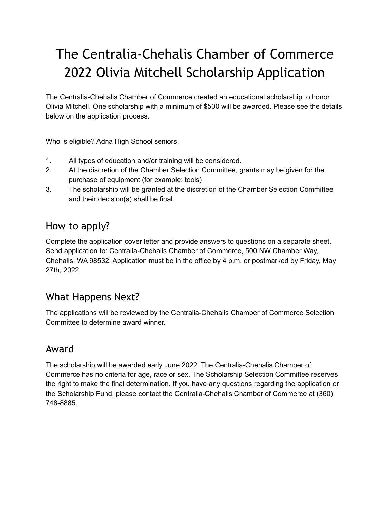# The Centralia-Chehalis Chamber of Commerce 2022 Olivia Mitchell Scholarship Application

The Centralia-Chehalis Chamber of Commerce created an educational scholarship to honor Olivia Mitchell. One scholarship with a minimum of \$500 will be awarded. Please see the details below on the application process.

Who is eligible? Adna High School seniors.

- 1. All types of education and/or training will be considered.
- 2. At the discretion of the Chamber Selection Committee, grants may be given for the purchase of equipment (for example: tools)
- 3. The scholarship will be granted at the discretion of the Chamber Selection Committee and their decision(s) shall be final.

## How to apply?

Complete the application cover letter and provide answers to questions on a separate sheet. Send application to: Centralia-Chehalis Chamber of Commerce, 500 NW Chamber Way, Chehalis, WA 98532. Application must be in the office by 4 p.m. or postmarked by Friday, May 27th, 2022.

## What Happens Next?

The applications will be reviewed by the Centralia-Chehalis Chamber of Commerce Selection Committee to determine award winner.

#### Award

The scholarship will be awarded early June 2022. The Centralia-Chehalis Chamber of Commerce has no criteria for age, race or sex. The Scholarship Selection Committee reserves the right to make the final determination. If you have any questions regarding the application or the Scholarship Fund, please contact the Centralia-Chehalis Chamber of Commerce at (360) 748-8885.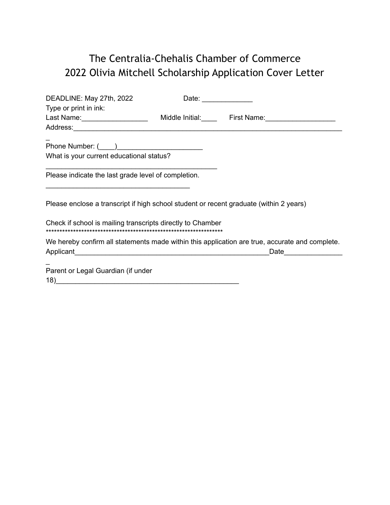# The Centralia-Chehalis Chamber of Commerce 2022 Olivia Mitchell Scholarship Application Cover Letter

| DEADLINE: May 27th, 2022                                                               |  |                                                                                                |
|----------------------------------------------------------------------------------------|--|------------------------------------------------------------------------------------------------|
| Type or print in ink:                                                                  |  |                                                                                                |
|                                                                                        |  | Last Name: ______________________ Middle Initial: _____ First Name: _____________              |
|                                                                                        |  |                                                                                                |
|                                                                                        |  |                                                                                                |
|                                                                                        |  |                                                                                                |
| What is your current educational status?                                               |  |                                                                                                |
|                                                                                        |  |                                                                                                |
| Please indicate the last grade level of completion.                                    |  |                                                                                                |
|                                                                                        |  |                                                                                                |
|                                                                                        |  |                                                                                                |
| Please enclose a transcript if high school student or recent graduate (within 2 years) |  |                                                                                                |
|                                                                                        |  |                                                                                                |
| Check if school is mailing transcripts directly to Chamber                             |  |                                                                                                |
|                                                                                        |  |                                                                                                |
|                                                                                        |  | We hereby confirm all statements made within this application are true, accurate and complete. |
|                                                                                        |  | Date                                                                                           |
|                                                                                        |  |                                                                                                |
| Parent or Legal Guardian (if under                                                     |  |                                                                                                |
| 18)_                                                                                   |  |                                                                                                |